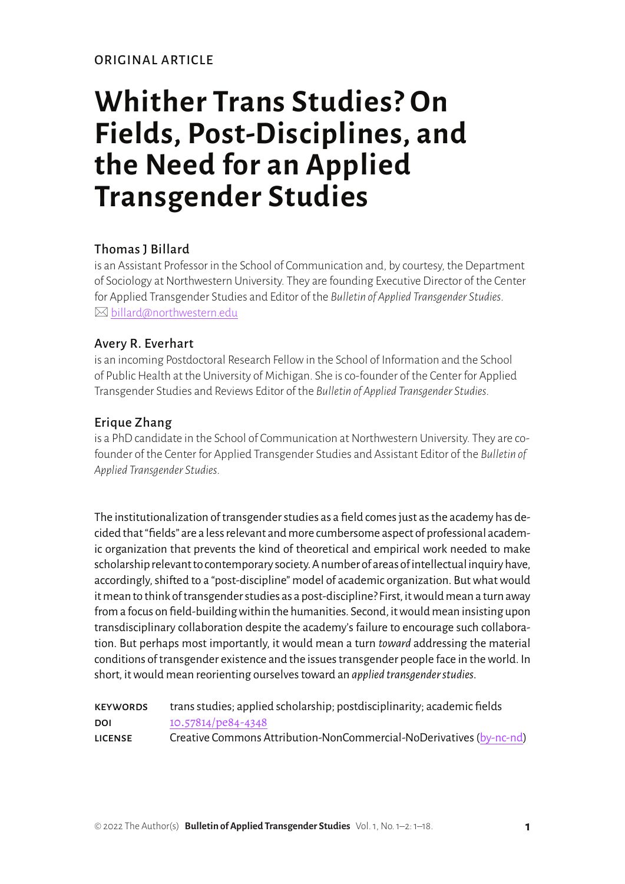ORIGINAL ARTICLE

# **Whither Trans Studies? On Fields, Post-Disciplines, and the Need for an Applied Transgender Studies**

## Thomas J Billard

is an Assistant Professor in the School of Communication and, by courtesy, the Department of Sociology at Northwestern University. They are founding Executive Director of the Center for Applied Transgender Studies and Editor of the *Bulletin of Applied Transgender Studies*.  $\boxtimes$  [billard@northwestern.edu](mailto:billard@northwestern.edu)

## Avery R. Everhart

is an incoming Postdoctoral Research Fellow in the School of Information and the School of Public Health at the University of Michigan. She is co-founder of the Center for Applied Transgender Studies and Reviews Editor of the *Bulletin of Applied Transgender Studies*.

## Erique Zhang

is a PhD candidate in the School of Communication at Northwestern University. They are cofounder of the Center for Applied Transgender Studies and Assistant Editor of the *Bulletin of Applied Transgender Studies*.

The institutionalization of transgender studies as a field comes just as the academy has decided that "fields" are a less relevant and more cumbersome aspect of professional academic organization that prevents the kind of theoretical and empirical work needed to make scholarship relevant to contemporary society. A number of areas of intellectual inquiry have, accordingly, shifted to a "post-discipline" model of academic organization. But what would it mean to think of transgender studies as a post-discipline? First, it would mean a turn away from a focus on field-building within the humanities. Second, it would mean insisting upon transdisciplinary collaboration despite the academy's failure to encourage such collaboration. But perhaps most importantly, it would mean a turn *toward* addressing the material conditions of transgender existence and the issues transgender people face in the world. In short, it would mean reorienting ourselves toward an *applied transgender studies*.

| <b>KEYWORDS</b> | trans studies; applied scholarship; postdisciplinarity; academic fields |
|-----------------|-------------------------------------------------------------------------|
| DOI             | 10.57814/pe84-4348                                                      |
| <b>LICENSE</b>  | Creative Commons Attribution-NonCommercial-NoDerivatives (by-nc-nd)     |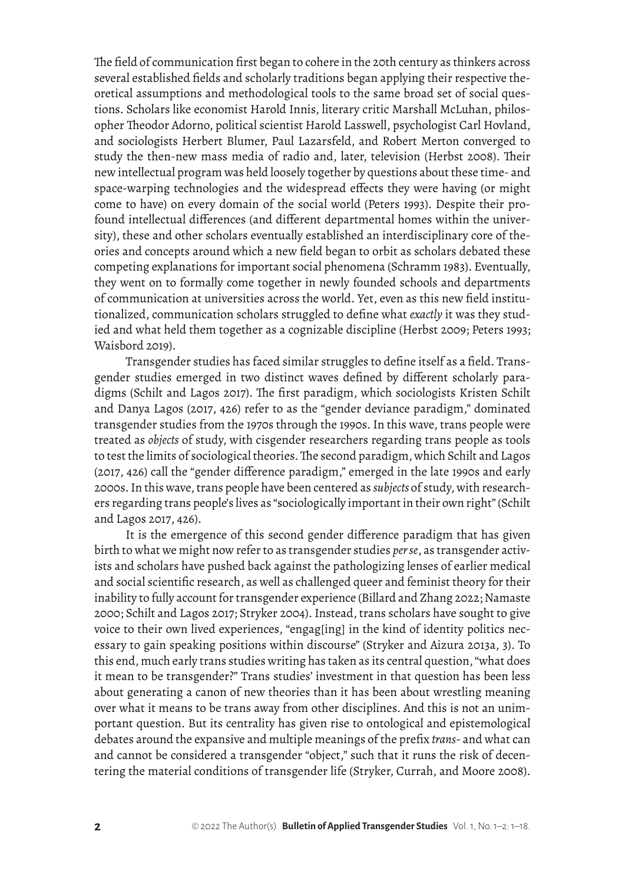The field of communication first began to cohere in the 20th century as thinkers across several established fields and scholarly traditions began applying their respective theoretical assumptions and methodological tools to the same broad set of social questions. Scholars like economist Harold Innis, literary critic Marshall McLuhan, philosopher Theodor Adorno, political scientist Harold Lasswell, psychologist Carl Hovland, and sociologists Herbert Blumer, Paul Lazarsfeld, and Robert Merton converged to study the then-new mass media of radio and, later, television (Herbst 2008). Their new intellectual program was held loosely together by questions about these time- and space-warping technologies and the widespread effects they were having (or might come to have) on every domain of the social world (Peters 1993). Despite their profound intellectual differences (and different departmental homes within the university), these and other scholars eventually established an interdisciplinary core of theories and concepts around which a new field began to orbit as scholars debated these competing explanations for important social phenomena (Schramm 1983). Eventually, they went on to formally come together in newly founded schools and departments of communication at universities across the world. Yet, even as this new field institutionalized, communication scholars struggled to define what *exactly* it was they studied and what held them together as a cognizable discipline (Herbst 2009; Peters 1993; Waisbord 2019).

Transgender studies has faced similar struggles to define itself as a field. Transgender studies emerged in two distinct waves defined by different scholarly paradigms (Schilt and Lagos 2017). The first paradigm, which sociologists Kristen Schilt and Danya Lagos (2017, 426) refer to as the "gender deviance paradigm," dominated transgender studies from the 1970s through the 1990s. In this wave, trans people were treated as *objects* of study, with cisgender researchers regarding trans people as tools to test the limits of sociological theories. The second paradigm, which Schilt and Lagos (2017, 426) call the "gender difference paradigm," emerged in the late 1990s and early 2000s. In this wave, trans people have been centered as *subjects* of study, with researchers regarding trans people's lives as "sociologically important in their own right" (Schilt and Lagos 2017, 426).

It is the emergence of this second gender difference paradigm that has given birth to what we might now refer to as transgender studies *per se*, as transgender activists and scholars have pushed back against the pathologizing lenses of earlier medical and social scientific research, as well as challenged queer and feminist theory for their inability to fully account for transgender experience (Billard and Zhang 2022; Namaste 2000; Schilt and Lagos 2017; Stryker 2004). Instead, trans scholars have sought to give voice to their own lived experiences, "engag[ing] in the kind of identity politics necessary to gain speaking positions within discourse" (Stryker and Aizura 2013a, 3). To this end, much early trans studies writing has taken as its central question, "what does it mean to be transgender?" Trans studies' investment in that question has been less about generating a canon of new theories than it has been about wrestling meaning over what it means to be trans away from other disciplines. And this is not an unimportant question. But its centrality has given rise to ontological and epistemological debates around the expansive and multiple meanings of the prefix *trans*- and what can and cannot be considered a transgender "object," such that it runs the risk of decentering the material conditions of transgender life (Stryker, Currah, and Moore 2008).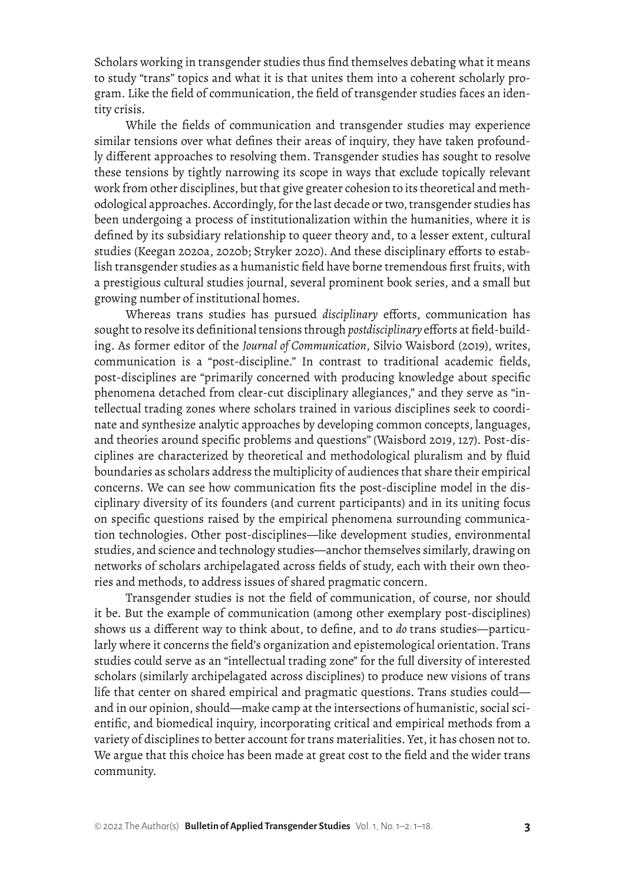Scholars working in transgender studies thus find themselves debating what it means to study "trans" topics and what it is that unites them into a coherent scholarly program. Like the field of communication, the field of transgender studies faces an identity crisis.

While the fields of communication and transgender studies may experience similar tensions over what defines their areas of inquiry, they have taken profoundly different approaches to resolving them. Transgender studies has sought to resolve these tensions by tightly narrowing its scope in ways that exclude topically relevant work from other disciplines, but that give greater cohesion to its theoretical and methodological approaches. Accordingly, for the last decade or two, transgender studies has been undergoing a process of institutionalization within the humanities, where it is defined by its subsidiary relationship to queer theory and, to a lesser extent, cultural studies (Keegan 2020a, 2020b; Stryker 2020). And these disciplinary efforts to establish transgender studies as a humanistic field have borne tremendous first fruits, with a prestigious cultural studies journal, several prominent book series, and a small but growing number of institutional homes.

Whereas trans studies has pursued *disciplinary* efforts, communication has sought to resolve its definitional tensions through *postdisciplinary* efforts at field-building. As former editor of the *Journal of Communication*, Silvio Waisbord (2019), writes, communication is a "post-discipline." In contrast to traditional academic fields, post-disciplines are "primarily concerned with producing knowledge about specific phenomena detached from clear-cut disciplinary allegiances," and they serve as "intellectual trading zones where scholars trained in various disciplines seek to coordinate and synthesize analytic approaches by developing common concepts, languages, and theories around specific problems and questions" (Waisbord 2019, 127). Post-disciplines are characterized by theoretical and methodological pluralism and by fluid boundaries as scholars address the multiplicity of audiences that share their empirical concerns. We can see how communication fits the post-discipline model in the disciplinary diversity of its founders (and current participants) and in its uniting focus on specific questions raised by the empirical phenomena surrounding communication technologies. Other post-disciplines—like development studies, environmental studies, and science and technology studies—anchor themselves similarly, drawing on networks of scholars archipelagated across fields of study, each with their own theories and methods, to address issues of shared pragmatic concern.

Transgender studies is not the field of communication, of course, nor should it be. But the example of communication (among other exemplary post-disciplines) shows us a different way to think about, to define, and to *do* trans studies—particularly where it concerns the field's organization and epistemological orientation. Trans studies could serve as an "intellectual trading zone" for the full diversity of interested scholars (similarly archipelagated across disciplines) to produce new visions of trans life that center on shared empirical and pragmatic questions. Trans studies could and in our opinion, should—make camp at the intersections of humanistic, social scientific, and biomedical inquiry, incorporating critical and empirical methods from a variety of disciplines to better account for trans materialities. Yet, it has chosen not to. We argue that this choice has been made at great cost to the field and the wider trans community.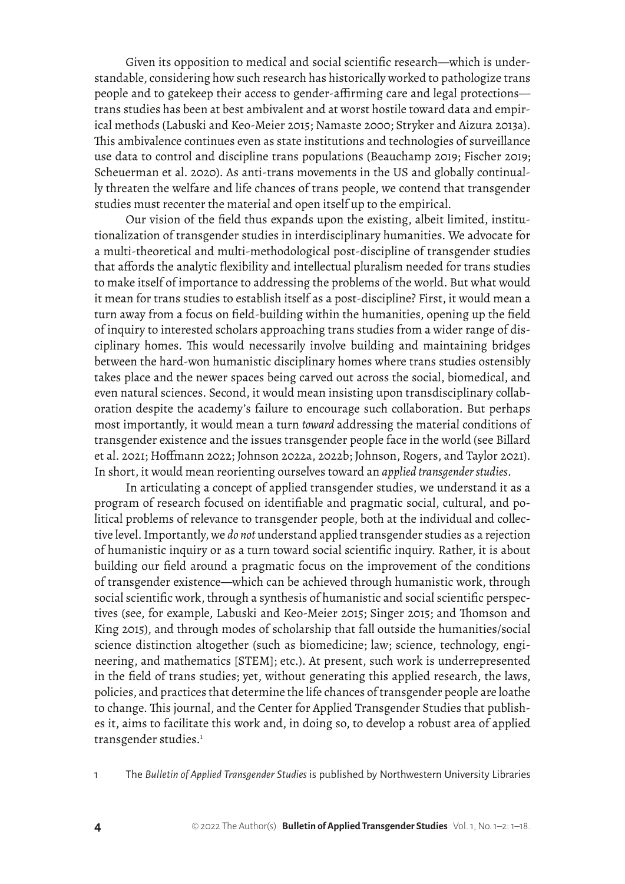Given its opposition to medical and social scientific research—which is understandable, considering how such research has historically worked to pathologize trans people and to gatekeep their access to gender-affirming care and legal protections trans studies has been at best ambivalent and at worst hostile toward data and empirical methods (Labuski and Keo-Meier 2015; Namaste 2000; Stryker and Aizura 2013a). This ambivalence continues even as state institutions and technologies of surveillance use data to control and discipline trans populations (Beauchamp 2019; Fischer 2019; Scheuerman et al. 2020). As anti-trans movements in the US and globally continually threaten the welfare and life chances of trans people, we contend that transgender studies must recenter the material and open itself up to the empirical.

Our vision of the field thus expands upon the existing, albeit limited, institutionalization of transgender studies in interdisciplinary humanities. We advocate for a multi-theoretical and multi-methodological post-discipline of transgender studies that affords the analytic flexibility and intellectual pluralism needed for trans studies to make itself of importance to addressing the problems of the world. But what would it mean for trans studies to establish itself as a post-discipline? First, it would mean a turn away from a focus on field-building within the humanities, opening up the field of inquiry to interested scholars approaching trans studies from a wider range of disciplinary homes. This would necessarily involve building and maintaining bridges between the hard-won humanistic disciplinary homes where trans studies ostensibly takes place and the newer spaces being carved out across the social, biomedical, and even natural sciences. Second, it would mean insisting upon transdisciplinary collaboration despite the academy's failure to encourage such collaboration. But perhaps most importantly, it would mean a turn *toward* addressing the material conditions of transgender existence and the issues transgender people face in the world (see Billard et al. 2021; Hoffmann 2022; Johnson 2022a, 2022b; Johnson, Rogers, and Taylor 2021). In short, it would mean reorienting ourselves toward an *applied transgender studies*.

In articulating a concept of applied transgender studies, we understand it as a program of research focused on identifiable and pragmatic social, cultural, and political problems of relevance to transgender people, both at the individual and collective level. Importantly, we *do not* understand applied transgender studies as a rejection of humanistic inquiry or as a turn toward social scientific inquiry. Rather, it is about building our field around a pragmatic focus on the improvement of the conditions of transgender existence—which can be achieved through humanistic work, through social scientific work, through a synthesis of humanistic and social scientific perspectives (see, for example, Labuski and Keo-Meier 2015; Singer 2015; and Thomson and King 2015), and through modes of scholarship that fall outside the humanities/social science distinction altogether (such as biomedicine; law; science, technology, engineering, and mathematics [STEM]; etc.). At present, such work is underrepresented in the field of trans studies; yet, without generating this applied research, the laws, policies, and practices that determine the life chances of transgender people are loathe to change. This journal, and the Center for Applied Transgender Studies that publishes it, aims to facilitate this work and, in doing so, to develop a robust area of applied transgender studies.<sup>1</sup>

1 The *Bulletin of Applied Transgender Studies* is published by Northwestern University Libraries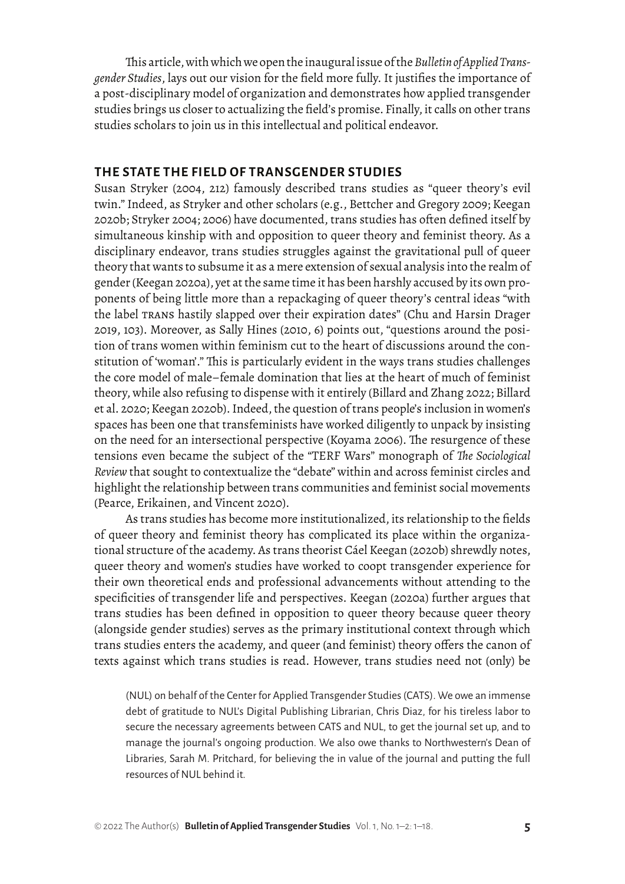This article, with which we open the inaugural issue of the *Bulletin of Applied Transgender Studies*, lays out our vision for the field more fully. It justifies the importance of a post-disciplinary model of organization and demonstrates how applied transgender studies brings us closer to actualizing the field's promise. Finally, it calls on other trans studies scholars to join us in this intellectual and political endeavor.

#### **THE STATE THE FIELD OF TRANSGENDER STUDIES**

Susan Stryker (2004, 212) famously described trans studies as "queer theory's evil twin." Indeed, as Stryker and other scholars (e.g., Bettcher and Gregory 2009; Keegan 2020b; Stryker 2004; 2006) have documented, trans studies has often defined itself by simultaneous kinship with and opposition to queer theory and feminist theory. As a disciplinary endeavor, trans studies struggles against the gravitational pull of queer theory that wants to subsume it as a mere extension of sexual analysis into the realm of gender (Keegan 2020a), yet at the same time it has been harshly accused by its own proponents of being little more than a repackaging of queer theory's central ideas "with the label trans hastily slapped over their expiration dates" (Chu and Harsin Drager 2019, 103). Moreover, as Sally Hines (2010, 6) points out, "questions around the position of trans women within feminism cut to the heart of discussions around the constitution of 'woman'." This is particularly evident in the ways trans studies challenges the core model of male–female domination that lies at the heart of much of feminist theory, while also refusing to dispense with it entirely (Billard and Zhang 2022; Billard et al. 2020; Keegan 2020b). Indeed, the question of trans people's inclusion in women's spaces has been one that transfeminists have worked diligently to unpack by insisting on the need for an intersectional perspective (Koyama 2006). The resurgence of these tensions even became the subject of the "TERF Wars" monograph of *The Sociological Review* that sought to contextualize the "debate" within and across feminist circles and highlight the relationship between trans communities and feminist social movements (Pearce, Erikainen, and Vincent 2020).

As trans studies has become more institutionalized, its relationship to the fields of queer theory and feminist theory has complicated its place within the organizational structure of the academy. As trans theorist Cáel Keegan (2020b) shrewdly notes, queer theory and women's studies have worked to coopt transgender experience for their own theoretical ends and professional advancements without attending to the specificities of transgender life and perspectives. Keegan (2020a) further argues that trans studies has been defined in opposition to queer theory because queer theory (alongside gender studies) serves as the primary institutional context through which trans studies enters the academy, and queer (and feminist) theory offers the canon of texts against which trans studies is read. However, trans studies need not (only) be

(NUL) on behalf of the Center for Applied Transgender Studies (CATS). We owe an immense debt of gratitude to NUL's Digital Publishing Librarian, Chris Diaz, for his tireless labor to secure the necessary agreements between CATS and NUL, to get the journal set up, and to manage the journal's ongoing production. We also owe thanks to Northwestern's Dean of Libraries, Sarah M. Pritchard, for believing the in value of the journal and putting the full resources of NUL behind it.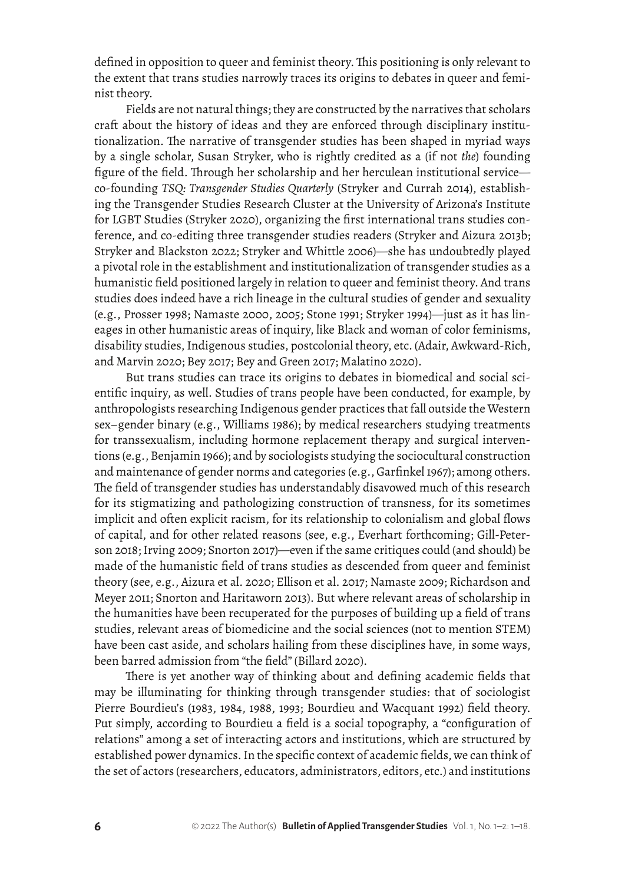defined in opposition to queer and feminist theory. This positioning is only relevant to the extent that trans studies narrowly traces its origins to debates in queer and feminist theory.

Fields are not natural things; they are constructed by the narratives that scholars craft about the history of ideas and they are enforced through disciplinary institutionalization. The narrative of transgender studies has been shaped in myriad ways by a single scholar, Susan Stryker, who is rightly credited as a (if not *the*) founding figure of the field. Through her scholarship and her herculean institutional service co-founding *TSQ: Transgender Studies Quarterly* (Stryker and Currah 2014), establishing the Transgender Studies Research Cluster at the University of Arizona's Institute for LGBT Studies (Stryker 2020), organizing the first international trans studies conference, and co-editing three transgender studies readers (Stryker and Aizura 2013b; Stryker and Blackston 2022; Stryker and Whittle 2006)—she has undoubtedly played a pivotal role in the establishment and institutionalization of transgender studies as a humanistic field positioned largely in relation to queer and feminist theory. And trans studies does indeed have a rich lineage in the cultural studies of gender and sexuality (e.g., Prosser 1998; Namaste 2000, 2005; Stone 1991; Stryker 1994)—just as it has lineages in other humanistic areas of inquiry, like Black and woman of color feminisms, disability studies, Indigenous studies, postcolonial theory, etc. (Adair, Awkward-Rich, and Marvin 2020; Bey 2017; Bey and Green 2017; Malatino 2020).

But trans studies can trace its origins to debates in biomedical and social scientific inquiry, as well. Studies of trans people have been conducted, for example, by anthropologists researching Indigenous gender practices that fall outside the Western sex–gender binary (e.g., Williams 1986); by medical researchers studying treatments for transsexualism, including hormone replacement therapy and surgical interventions (e.g., Benjamin 1966); and by sociologists studying the sociocultural construction and maintenance of gender norms and categories (e.g., Garfinkel 1967); among others. The field of transgender studies has understandably disavowed much of this research for its stigmatizing and pathologizing construction of transness, for its sometimes implicit and often explicit racism, for its relationship to colonialism and global flows of capital, and for other related reasons (see, e.g., Everhart forthcoming; Gill-Peterson 2018; Irving 2009; Snorton 2017)—even if the same critiques could (and should) be made of the humanistic field of trans studies as descended from queer and feminist theory (see, e.g., Aizura et al. 2020; Ellison et al. 2017; Namaste 2009; Richardson and Meyer 2011; Snorton and Haritaworn 2013). But where relevant areas of scholarship in the humanities have been recuperated for the purposes of building up a field of trans studies, relevant areas of biomedicine and the social sciences (not to mention STEM) have been cast aside, and scholars hailing from these disciplines have, in some ways, been barred admission from "the field" (Billard 2020).

There is yet another way of thinking about and defining academic fields that may be illuminating for thinking through transgender studies: that of sociologist Pierre Bourdieu's (1983, 1984, 1988, 1993; Bourdieu and Wacquant 1992) field theory. Put simply, according to Bourdieu a field is a social topography, a "configuration of relations" among a set of interacting actors and institutions, which are structured by established power dynamics. In the specific context of academic fields, we can think of the set of actors (researchers, educators, administrators, editors, etc.) and institutions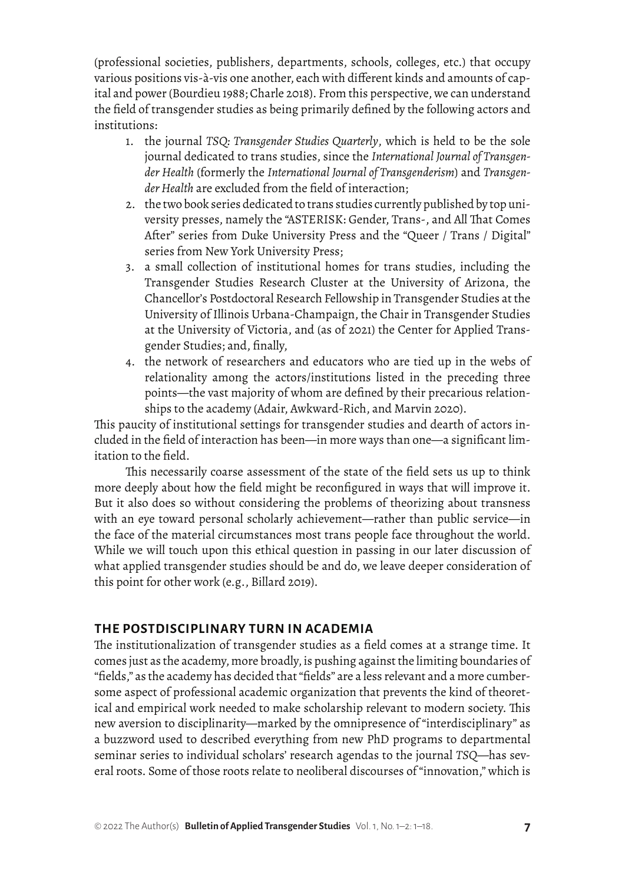(professional societies, publishers, departments, schools, colleges, etc.) that occupy various positions vis-à-vis one another, each with different kinds and amounts of capital and power (Bourdieu 1988; Charle 2018). From this perspective, we can understand the field of transgender studies as being primarily defined by the following actors and institutions:

- 1. the journal *TSQ: Transgender Studies Quarterly*, which is held to be the sole journal dedicated to trans studies, since the *International Journal of Transgender Health* (formerly the *International Journal of Transgenderism*) and *Transgender Health* are excluded from the field of interaction;
- 2. the two book series dedicated to trans studies currently published by top university presses, namely the "ASTERISK: Gender, Trans-, and All That Comes After" series from Duke University Press and the "Queer / Trans / Digital" series from New York University Press;
- 3. a small collection of institutional homes for trans studies, including the Transgender Studies Research Cluster at the University of Arizona, the Chancellor's Postdoctoral Research Fellowship in Transgender Studies at the University of Illinois Urbana-Champaign, the Chair in Transgender Studies at the University of Victoria, and (as of 2021) the Center for Applied Transgender Studies; and, finally,
- 4. the network of researchers and educators who are tied up in the webs of relationality among the actors/institutions listed in the preceding three points—the vast majority of whom are defined by their precarious relationships to the academy (Adair, Awkward-Rich, and Marvin 2020).

This paucity of institutional settings for transgender studies and dearth of actors included in the field of interaction has been—in more ways than one—a significant limitation to the field.

This necessarily coarse assessment of the state of the field sets us up to think more deeply about how the field might be reconfigured in ways that will improve it. But it also does so without considering the problems of theorizing about transness with an eye toward personal scholarly achievement—rather than public service—in the face of the material circumstances most trans people face throughout the world. While we will touch upon this ethical question in passing in our later discussion of what applied transgender studies should be and do, we leave deeper consideration of this point for other work (e.g., Billard 2019).

### **THE POSTDISCIPLINARY TURN IN ACADEMIA**

The institutionalization of transgender studies as a field comes at a strange time. It comes just as the academy, more broadly, is pushing against the limiting boundaries of "fields," as the academy has decided that "fields" are a less relevant and a more cumbersome aspect of professional academic organization that prevents the kind of theoretical and empirical work needed to make scholarship relevant to modern society. This new aversion to disciplinarity—marked by the omnipresence of "interdisciplinary" as a buzzword used to described everything from new PhD programs to departmental seminar series to individual scholars' research agendas to the journal *TSQ*—has several roots. Some of those roots relate to neoliberal discourses of "innovation," which is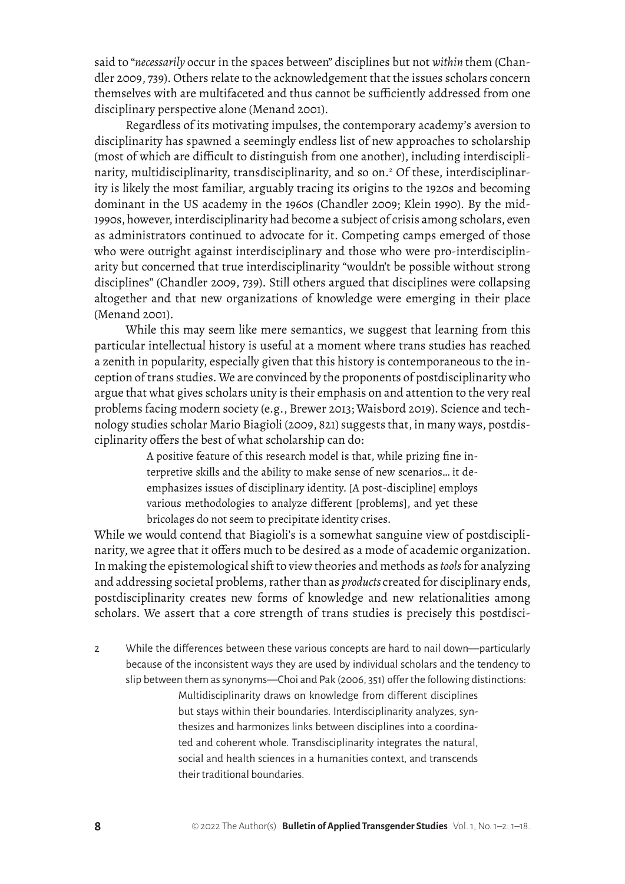said to "*necessarily* occur in the spaces between" disciplines but not *within* them (Chandler 2009, 739). Others relate to the acknowledgement that the issues scholars concern themselves with are multifaceted and thus cannot be sufficiently addressed from one disciplinary perspective alone (Menand 2001).

Regardless of its motivating impulses, the contemporary academy's aversion to disciplinarity has spawned a seemingly endless list of new approaches to scholarship (most of which are difficult to distinguish from one another), including interdisciplinarity, multidisciplinarity, transdisciplinarity, and so on.2 Of these, interdisciplinarity is likely the most familiar, arguably tracing its origins to the 1920s and becoming dominant in the US academy in the 1960s (Chandler 2009; Klein 1990). By the mid-1990s, however, interdisciplinarity had become a subject of crisis among scholars, even as administrators continued to advocate for it. Competing camps emerged of those who were outright against interdisciplinary and those who were pro-interdisciplinarity but concerned that true interdisciplinarity "wouldn't be possible without strong disciplines" (Chandler 2009, 739). Still others argued that disciplines were collapsing altogether and that new organizations of knowledge were emerging in their place (Menand 2001).

While this may seem like mere semantics, we suggest that learning from this particular intellectual history is useful at a moment where trans studies has reached a zenith in popularity, especially given that this history is contemporaneous to the inception of trans studies. We are convinced by the proponents of postdisciplinarity who argue that what gives scholars unity is their emphasis on and attention to the very real problems facing modern society (e.g., Brewer 2013; Waisbord 2019). Science and technology studies scholar Mario Biagioli (2009, 821) suggests that, in many ways, postdisciplinarity offers the best of what scholarship can do:

> A positive feature of this research model is that, while prizing fine interpretive skills and the ability to make sense of new scenarios… it de‐ emphasizes issues of disciplinary identity. [A post-discipline] employs various methodologies to analyze different [problems], and yet these bricolages do not seem to precipitate identity crises.

While we would contend that Biagioli's is a somewhat sanguine view of postdisciplinarity, we agree that it offers much to be desired as a mode of academic organization. In making the epistemological shift to view theories and methods as *tools* for analyzing and addressing societal problems, rather than as *products* created for disciplinary ends, postdisciplinarity creates new forms of knowledge and new relationalities among scholars. We assert that a core strength of trans studies is precisely this postdisci-

2 While the differences between these various concepts are hard to nail down—particularly because of the inconsistent ways they are used by individual scholars and the tendency to slip between them as synonyms—Choi and Pak (2006, 351) offer the following distinctions: Multidisciplinarity draws on knowledge from different disciplines but stays within their boundaries. Interdisciplinarity analyzes, synthesizes and harmonizes links between disciplines into a coordinated and coherent whole. Transdisciplinarity integrates the natural, social and health sciences in a humanities context, and transcends their traditional boundaries.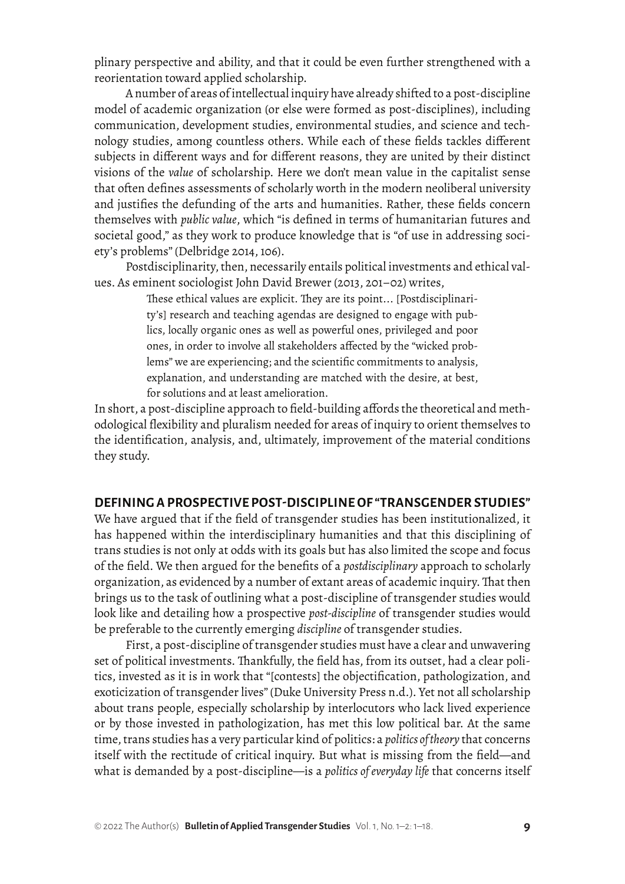plinary perspective and ability, and that it could be even further strengthened with a reorientation toward applied scholarship.

A number of areas of intellectual inquiry have already shifted to a post-discipline model of academic organization (or else were formed as post-disciplines), including communication, development studies, environmental studies, and science and technology studies, among countless others. While each of these fields tackles different subjects in different ways and for different reasons, they are united by their distinct visions of the *value* of scholarship. Here we don't mean value in the capitalist sense that often defines assessments of scholarly worth in the modern neoliberal university and justifies the defunding of the arts and humanities. Rather, these fields concern themselves with *public value*, which "is defined in terms of humanitarian futures and societal good," as they work to produce knowledge that is "of use in addressing society's problems" (Delbridge 2014, 106).

Postdisciplinarity, then, necessarily entails political investments and ethical values. As eminent sociologist John David Brewer (2013, 201–02) writes,

> These ethical values are explicit. They are its point... [Postdisciplinarity's] research and teaching agendas are designed to engage with publics, locally organic ones as well as powerful ones, privileged and poor ones, in order to involve all stakeholders affected by the "wicked problems" we are experiencing; and the scientific commitments to analysis, explanation, and understanding are matched with the desire, at best, for solutions and at least amelioration.

In short, a post-discipline approach to field-building affords the theoretical and methodological flexibility and pluralism needed for areas of inquiry to orient themselves to the identification, analysis, and, ultimately, improvement of the material conditions they study.

#### **DEFINING A PROSPECTIVE POST-DISCIPLINE OF "TRANSGENDER STUDIES"**

We have argued that if the field of transgender studies has been institutionalized, it has happened within the interdisciplinary humanities and that this disciplining of trans studies is not only at odds with its goals but has also limited the scope and focus of the field. We then argued for the benefits of a *postdisciplinary* approach to scholarly organization, as evidenced by a number of extant areas of academic inquiry. That then brings us to the task of outlining what a post-discipline of transgender studies would look like and detailing how a prospective *post-discipline* of transgender studies would be preferable to the currently emerging *discipline* of transgender studies.

First, a post-discipline of transgender studies must have a clear and unwavering set of political investments. Thankfully, the field has, from its outset, had a clear politics, invested as it is in work that "[contests] the objectification, pathologization, and exoticization of transgender lives" (Duke University Press n.d.). Yet not all scholarship about trans people, especially scholarship by interlocutors who lack lived experience or by those invested in pathologization, has met this low political bar. At the same time, trans studies has a very particular kind of politics: a *politics of theory* that concerns itself with the rectitude of critical inquiry. But what is missing from the field—and what is demanded by a post-discipline—is a *politics of everyday life* that concerns itself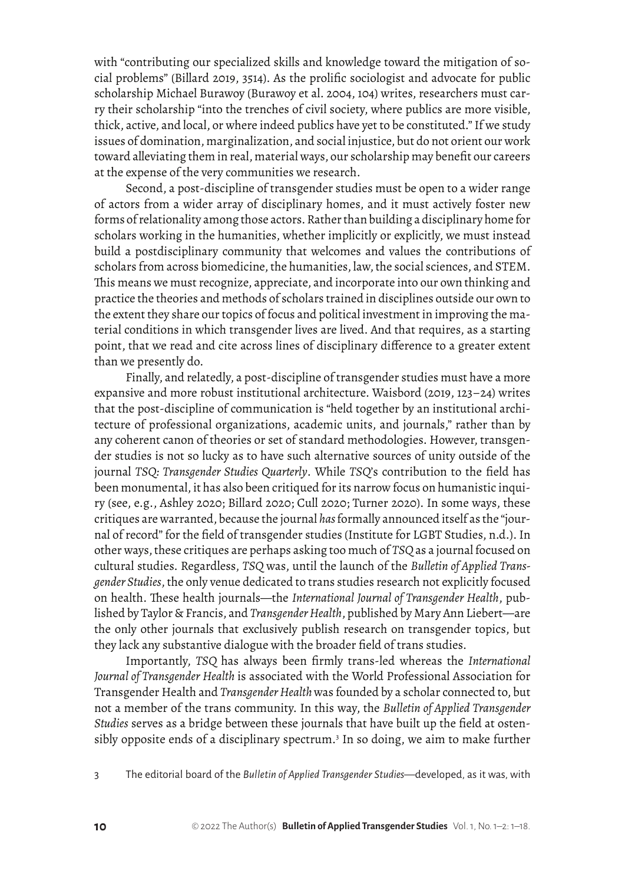with "contributing our specialized skills and knowledge toward the mitigation of social problems" (Billard 2019, 3514). As the prolific sociologist and advocate for public scholarship Michael Burawoy (Burawoy et al. 2004, 104) writes, researchers must carry their scholarship "into the trenches of civil society, where publics are more visible, thick, active, and local, or where indeed publics have yet to be constituted." If we study issues of domination, marginalization, and social injustice, but do not orient our work toward alleviating them in real, material ways, our scholarship may benefit our careers at the expense of the very communities we research.

Second, a post-discipline of transgender studies must be open to a wider range of actors from a wider array of disciplinary homes, and it must actively foster new forms of relationality among those actors. Rather than building a disciplinary home for scholars working in the humanities, whether implicitly or explicitly, we must instead build a postdisciplinary community that welcomes and values the contributions of scholars from across biomedicine, the humanities, law, the social sciences, and STEM. This means we must recognize, appreciate, and incorporate into our own thinking and practice the theories and methods of scholars trained in disciplines outside our own to the extent they share our topics of focus and political investment in improving the material conditions in which transgender lives are lived. And that requires, as a starting point, that we read and cite across lines of disciplinary difference to a greater extent than we presently do.

Finally, and relatedly, a post-discipline of transgender studies must have a more expansive and more robust institutional architecture. Waisbord (2019, 123–24) writes that the post-discipline of communication is "held together by an institutional architecture of professional organizations, academic units, and journals," rather than by any coherent canon of theories or set of standard methodologies. However, transgender studies is not so lucky as to have such alternative sources of unity outside of the journal *TSQ: Transgender Studies Quarterly*. While *TSQ*'s contribution to the field has been monumental, it has also been critiqued for its narrow focus on humanistic inquiry (see, e.g., Ashley 2020; Billard 2020; Cull 2020; Turner 2020). In some ways, these critiques are warranted, because the journal *has* formally announced itself as the "journal of record" for the field of transgender studies (Institute for LGBT Studies, n.d.). In other ways, these critiques are perhaps asking too much of *TSQ* as a journal focused on cultural studies. Regardless, *TSQ* was, until the launch of the *Bulletin of Applied Transgender Studies*, the only venue dedicated to trans studies research not explicitly focused on health. These health journals—the *International Journal of Transgender Health*, published by Taylor & Francis, and *Transgender Health*, published by Mary Ann Liebert—are the only other journals that exclusively publish research on transgender topics, but they lack any substantive dialogue with the broader field of trans studies.

Importantly, *TSQ* has always been firmly trans-led whereas the *International Journal of Transgender Health* is associated with the World Professional Association for Transgender Health and *Transgender Health* was founded by a scholar connected to, but not a member of the trans community. In this way, the *Bulletin of Applied Transgender Studies* serves as a bridge between these journals that have built up the field at ostensibly opposite ends of a disciplinary spectrum.<sup>3</sup> In so doing, we aim to make further

3 The editorial board of the *Bulletin of Applied Transgender Studies*—developed, as it was, with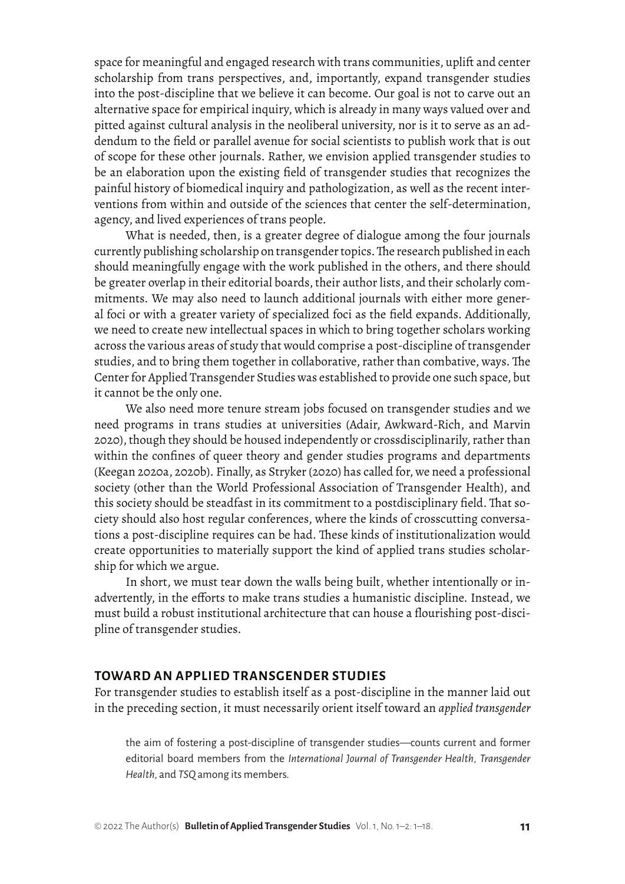space for meaningful and engaged research with trans communities, uplift and center scholarship from trans perspectives, and, importantly, expand transgender studies into the post-discipline that we believe it can become. Our goal is not to carve out an alternative space for empirical inquiry, which is already in many ways valued over and pitted against cultural analysis in the neoliberal university, nor is it to serve as an addendum to the field or parallel avenue for social scientists to publish work that is out of scope for these other journals. Rather, we envision applied transgender studies to be an elaboration upon the existing field of transgender studies that recognizes the painful history of biomedical inquiry and pathologization, as well as the recent interventions from within and outside of the sciences that center the self-determination, agency, and lived experiences of trans people.

What is needed, then, is a greater degree of dialogue among the four journals currently publishing scholarship on transgender topics. The research published in each should meaningfully engage with the work published in the others, and there should be greater overlap in their editorial boards, their author lists, and their scholarly commitments. We may also need to launch additional journals with either more general foci or with a greater variety of specialized foci as the field expands. Additionally, we need to create new intellectual spaces in which to bring together scholars working across the various areas of study that would comprise a post-discipline of transgender studies, and to bring them together in collaborative, rather than combative, ways. The Center for Applied Transgender Studies was established to provide one such space, but it cannot be the only one.

We also need more tenure stream jobs focused on transgender studies and we need programs in trans studies at universities (Adair, Awkward-Rich, and Marvin 2020), though they should be housed independently or crossdisciplinarily, rather than within the confines of queer theory and gender studies programs and departments (Keegan 2020a, 2020b). Finally, as Stryker (2020) has called for, we need a professional society (other than the World Professional Association of Transgender Health), and this society should be steadfast in its commitment to a postdisciplinary field. That society should also host regular conferences, where the kinds of crosscutting conversations a post-discipline requires can be had. These kinds of institutionalization would create opportunities to materially support the kind of applied trans studies scholarship for which we argue.

In short, we must tear down the walls being built, whether intentionally or inadvertently, in the efforts to make trans studies a humanistic discipline. Instead, we must build a robust institutional architecture that can house a flourishing post-discipline of transgender studies.

#### **TOWARD AN APPLIED TRANSGENDER STUDIES**

For transgender studies to establish itself as a post-discipline in the manner laid out in the preceding section, it must necessarily orient itself toward an *applied transgender* 

the aim of fostering a post-discipline of transgender studies—counts current and former editorial board members from the *International Journal of Transgender Health*, *Transgender Health*, and *TSQ* among its members.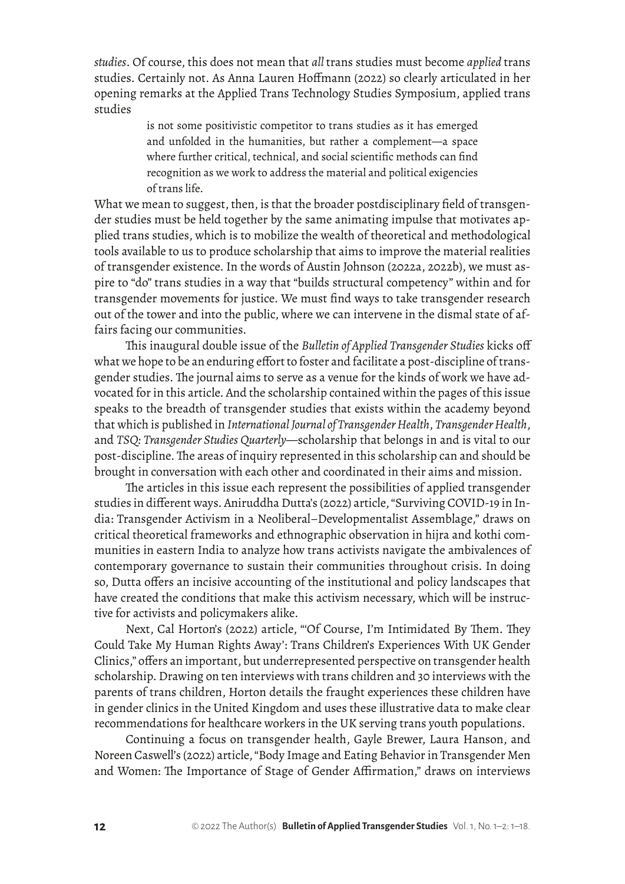*studies*. Of course, this does not mean that *all* trans studies must become *applied* trans studies. Certainly not. As Anna Lauren Hoffmann (2022) so clearly articulated in her opening remarks at the Applied Trans Technology Studies Symposium, applied trans studies

> is not some positivistic competitor to trans studies as it has emerged and unfolded in the humanities, but rather a complement—a space where further critical, technical, and social scientific methods can find recognition as we work to address the material and political exigencies of trans life.

What we mean to suggest, then, is that the broader postdisciplinary field of transgender studies must be held together by the same animating impulse that motivates applied trans studies, which is to mobilize the wealth of theoretical and methodological tools available to us to produce scholarship that aims to improve the material realities of transgender existence. In the words of Austin Johnson (2022a, 2022b), we must aspire to "do" trans studies in a way that "builds structural competency" within and for transgender movements for justice. We must find ways to take transgender research out of the tower and into the public, where we can intervene in the dismal state of affairs facing our communities.

This inaugural double issue of the *Bulletin of Applied Transgender Studies* kicks off what we hope to be an enduring effort to foster and facilitate a post-discipline of transgender studies. The journal aims to serve as a venue for the kinds of work we have advocated for in this article. And the scholarship contained within the pages of this issue speaks to the breadth of transgender studies that exists within the academy beyond that which is published in *International Journal of Transgender Health*, *Transgender Health*, and *TSQ: Transgender Studies Quarterly*—scholarship that belongs in and is vital to our post-discipline. The areas of inquiry represented in this scholarship can and should be brought in conversation with each other and coordinated in their aims and mission.

The articles in this issue each represent the possibilities of applied transgender studies in different ways. Aniruddha Dutta's (2022) article, "Surviving COVID-19 in India: Transgender Activism in a Neoliberal–Developmentalist Assemblage," draws on critical theoretical frameworks and ethnographic observation in hijra and kothi communities in eastern India to analyze how trans activists navigate the ambivalences of contemporary governance to sustain their communities throughout crisis. In doing so, Dutta offers an incisive accounting of the institutional and policy landscapes that have created the conditions that make this activism necessary, which will be instructive for activists and policymakers alike.

Next, Cal Horton's (2022) article, "'Of Course, I'm Intimidated By Them. They Could Take My Human Rights Away': Trans Children's Experiences With UK Gender Clinics," offers an important, but underrepresented perspective on transgender health scholarship. Drawing on ten interviews with trans children and 30 interviews with the parents of trans children, Horton details the fraught experiences these children have in gender clinics in the United Kingdom and uses these illustrative data to make clear recommendations for healthcare workers in the UK serving trans youth populations.

Continuing a focus on transgender health, Gayle Brewer, Laura Hanson, and Noreen Caswell's (2022) article, "Body Image and Eating Behavior in Transgender Men and Women: The Importance of Stage of Gender Affirmation," draws on interviews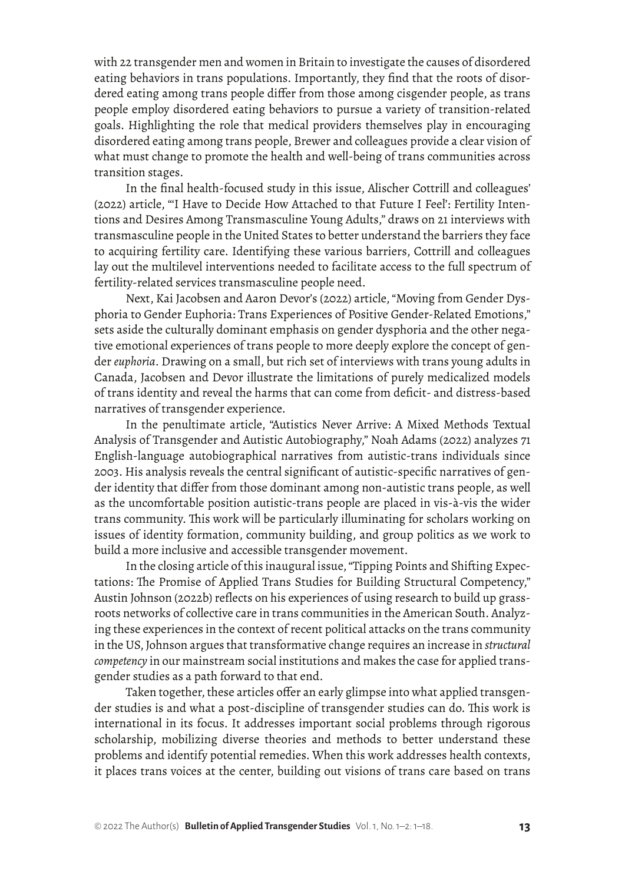with 22 transgender men and women in Britain to investigate the causes of disordered eating behaviors in trans populations. Importantly, they find that the roots of disordered eating among trans people differ from those among cisgender people, as trans people employ disordered eating behaviors to pursue a variety of transition-related goals. Highlighting the role that medical providers themselves play in encouraging disordered eating among trans people, Brewer and colleagues provide a clear vision of what must change to promote the health and well-being of trans communities across transition stages.

In the final health-focused study in this issue, Alischer Cottrill and colleagues' (2022) article, "'I Have to Decide How Attached to that Future I Feel': Fertility Intentions and Desires Among Transmasculine Young Adults," draws on 21 interviews with transmasculine people in the United States to better understand the barriers they face to acquiring fertility care. Identifying these various barriers, Cottrill and colleagues lay out the multilevel interventions needed to facilitate access to the full spectrum of fertility-related services transmasculine people need.

Next, Kai Jacobsen and Aaron Devor's (2022) article, "Moving from Gender Dysphoria to Gender Euphoria: Trans Experiences of Positive Gender-Related Emotions," sets aside the culturally dominant emphasis on gender dysphoria and the other negative emotional experiences of trans people to more deeply explore the concept of gender *euphoria*. Drawing on a small, but rich set of interviews with trans young adults in Canada, Jacobsen and Devor illustrate the limitations of purely medicalized models of trans identity and reveal the harms that can come from deficit- and distress-based narratives of transgender experience.

In the penultimate article, "Autistics Never Arrive: A Mixed Methods Textual Analysis of Transgender and Autistic Autobiography," Noah Adams (2022) analyzes 71 English-language autobiographical narratives from autistic-trans individuals since 2003. His analysis reveals the central significant of autistic-specific narratives of gender identity that differ from those dominant among non-autistic trans people, as well as the uncomfortable position autistic-trans people are placed in vis-à-vis the wider trans community. This work will be particularly illuminating for scholars working on issues of identity formation, community building, and group politics as we work to build a more inclusive and accessible transgender movement.

In the closing article of this inaugural issue, "Tipping Points and Shifting Expectations: The Promise of Applied Trans Studies for Building Structural Competency," Austin Johnson (2022b) reflects on his experiences of using research to build up grassroots networks of collective care in trans communities in the American South. Analyzing these experiences in the context of recent political attacks on the trans community in the US, Johnson argues that transformative change requires an increase in *structural competency* in our mainstream social institutions and makes the case for applied transgender studies as a path forward to that end.

Taken together, these articles offer an early glimpse into what applied transgender studies is and what a post-discipline of transgender studies can do. This work is international in its focus. It addresses important social problems through rigorous scholarship, mobilizing diverse theories and methods to better understand these problems and identify potential remedies. When this work addresses health contexts, it places trans voices at the center, building out visions of trans care based on trans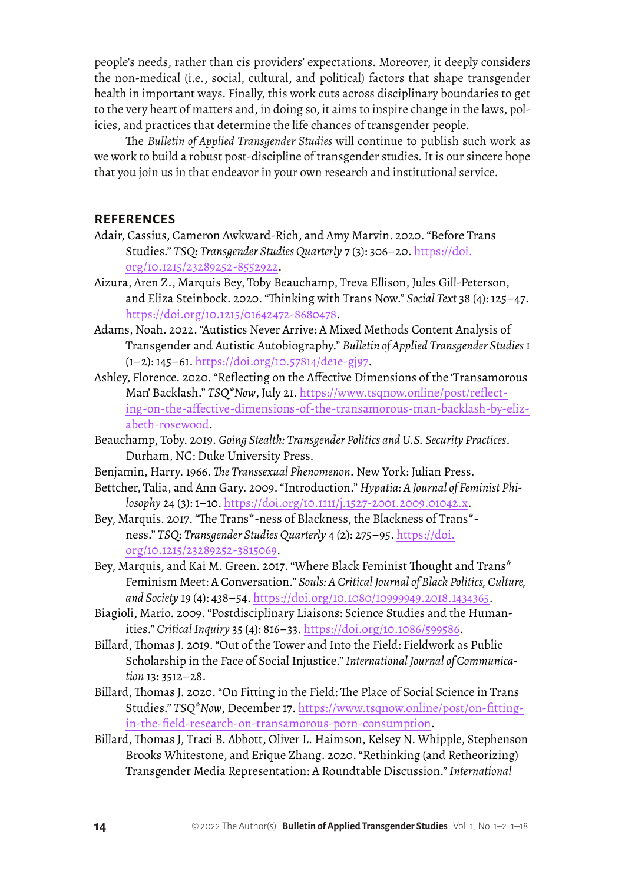people's needs, rather than cis providers' expectations. Moreover, it deeply considers the non-medical (i.e., social, cultural, and political) factors that shape transgender health in important ways. Finally, this work cuts across disciplinary boundaries to get to the very heart of matters and, in doing so, it aims to inspire change in the laws, policies, and practices that determine the life chances of transgender people.

The *Bulletin of Applied Transgender Studies* will continue to publish such work as we work to build a robust post-discipline of transgender studies. It is our sincere hope that you join us in that endeavor in your own research and institutional service.

#### **REFERENCES**

- Adair, Cassius, Cameron Awkward-Rich, and Amy Marvin. 2020. "Before Trans Studies." *TSQ: Transgender Studies Quarterly* 7 (3): 306–20. [https://doi.](https://doi.org/10.1215/23289252-8552922) [org/10.1215/23289252-8552922](https://doi.org/10.1215/23289252-8552922).
- Aizura, Aren Z., Marquis Bey, Toby Beauchamp, Treva Ellison, Jules Gill-Peterson, and Eliza Steinbock. 2020. "Thinking with Trans Now." *Social Text* 38 (4): 125–47. <https://doi.org/10.1215/01642472-8680478>.
- Adams, Noah. 2022. "Autistics Never Arrive: A Mixed Methods Content Analysis of Transgender and Autistic Autobiography." *Bulletin of Applied Transgender Studies* 1 (1–2): 145–61. [https://doi.org/10.57814/de1e-gj97.](https://doi.org/10.57814/de1e-gj97)
- Ashley, Florence. 2020. "Reflecting on the Affective Dimensions of the 'Transamorous Man' Backlash." *TSQ\*Now*, July 21. [https://www.tsqnow.online/post/reflect](https://www.tsqnow.online/post/reflecting-on-the-affective-dimensions-of-the-transamorous-man-backlash-by-elizabeth-rosewood)[ing-on-the-affective-dimensions-of-the-transamorous-man-backlash-by-eliz](https://www.tsqnow.online/post/reflecting-on-the-affective-dimensions-of-the-transamorous-man-backlash-by-elizabeth-rosewood)[abeth-rosewood](https://www.tsqnow.online/post/reflecting-on-the-affective-dimensions-of-the-transamorous-man-backlash-by-elizabeth-rosewood).
- Beauchamp, Toby. 2019. *Going Stealth: Transgender Politics and U.S. Security Practices*. Durham, NC: Duke University Press.
- Benjamin, Harry. 1966. *The Transsexual Phenomenon*. New York: Julian Press.
- Bettcher, Talia, and Ann Gary. 2009. "Introduction." *Hypatia: A Journal of Feminist Philosophy* 24 (3): 1–10. <https://doi.org/10.1111/j.1527-2001.2009.01042.x>.
- Bey, Marquis. 2017. "The Trans\*-ness of Blackness, the Blackness of Trans\* ness." *TSQ: Transgender Studies Quarterly* 4 (2): 275–95. [https://doi.](https://doi.org/10.1215/23289252-3815069) [org/10.1215/23289252-3815069](https://doi.org/10.1215/23289252-3815069).
- Bey, Marquis, and Kai M. Green. 2017. "Where Black Feminist Thought and Trans\* Feminism Meet: A Conversation." *Souls: A Critical Journal of Black Politics, Culture, and Society* 19 (4): 438–54. <https://doi.org/10.1080/10999949.2018.1434365>.
- Biagioli, Mario. 2009. "Postdisciplinary Liaisons: Science Studies and the Humanities." *Critical Inquiry* 35 (4): 816–33. [https://doi.org/10.1086/599586.](https://doi.org/10.1086/599586)
- Billard, Thomas J. 2019. "Out of the Tower and Into the Field: Fieldwork as Public Scholarship in the Face of Social Injustice." *International Journal of Communication* 13: 3512–28.
- Billard, Thomas J. 2020. "On Fitting in the Field: The Place of Social Science in Trans Studies." *TSQ\*Now*, December 17. [https://www.tsqnow.online/post/on-fitting](https://www.tsqnow.online/post/on-fitting-in-the-field-research-on-transamorous-porn-consumption)[in-the-field-research-on-transamorous-porn-consumption](https://www.tsqnow.online/post/on-fitting-in-the-field-research-on-transamorous-porn-consumption).
- Billard, Thomas J, Traci B. Abbott, Oliver L. Haimson, Kelsey N. Whipple, Stephenson Brooks Whitestone, and Erique Zhang. 2020. "Rethinking (and Retheorizing) Transgender Media Representation: A Roundtable Discussion." *International*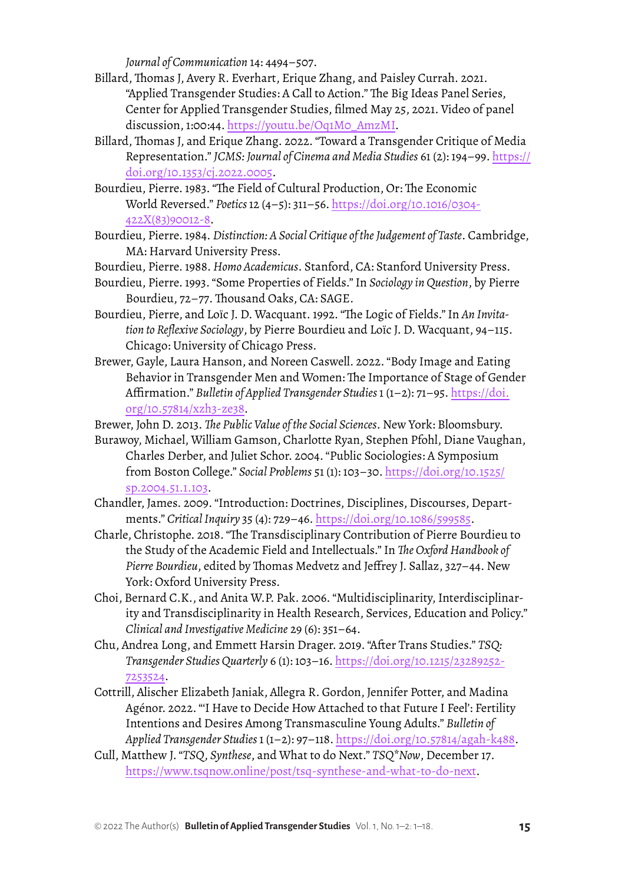*Journal of Communication* 14: 4494–507.

- Billard, Thomas J, Avery R. Everhart, Erique Zhang, and Paisley Currah. 2021. "Applied Transgender Studies: A Call to Action." The Big Ideas Panel Series, Center for Applied Transgender Studies, filmed May 25, 2021. Video of panel discussion, 1:00:44. [https://youtu.be/Oq1M0\\_AmzMI.](https://youtu.be/Oq1M0_AmzMI)
- Billard, Thomas J, and Erique Zhang. 2022. "Toward a Transgender Critique of Media Representation." *JCMS: Journal of Cinema and Media Studies* 61 (2): 194–99. [https://](https://doi.org/10.1353/cj.2022.0005) [doi.org/10.1353/cj.2022.0005](https://doi.org/10.1353/cj.2022.0005).
- Bourdieu, Pierre. 1983. "The Field of Cultural Production, Or: The Economic World Reversed." *Poetics* 12 (4–5): 311–56. [https://doi.org/10.1016/0304-](https://doi.org/10.1016/0304-422X(83)90012-8) [422X\(83\)90012-8](https://doi.org/10.1016/0304-422X(83)90012-8).
- Bourdieu, Pierre. 1984. *Distinction: A Social Critique of the Judgement of Taste*. Cambridge, MA: Harvard University Press.
- Bourdieu, Pierre. 1988. *Homo Academicus*. Stanford, CA: Stanford University Press.
- Bourdieu, Pierre. 1993. "Some Properties of Fields." In *Sociology in Question*, by Pierre Bourdieu, 72–77. Thousand Oaks, CA: SAGE.
- Bourdieu, Pierre, and Loïc J. D. Wacquant. 1992. "The Logic of Fields." In *An Invitation to Reflexive Sociology*, by Pierre Bourdieu and Loïc J. D. Wacquant, 94–115. Chicago: University of Chicago Press.
- Brewer, Gayle, Laura Hanson, and Noreen Caswell. 2022. "Body Image and Eating Behavior in Transgender Men and Women: The Importance of Stage of Gender Affirmation." *Bulletin of Applied Transgender Studies* 1 (1–2): 71–95. [https://doi.](https://doi.org/10.57814/xzh3-ze38) [org/10.57814/xzh3-ze38](https://doi.org/10.57814/xzh3-ze38).

Brewer, John D. 2013. *The Public Value of the Social Sciences*. New York: Bloomsbury.

- Burawoy, Michael, William Gamson, Charlotte Ryan, Stephen Pfohl, Diane Vaughan, Charles Derber, and Juliet Schor. 2004. "Public Sociologies: A Symposium from Boston College." *Social Problems* 51 (1): 103–30. [https://doi.org/10.1525/](https://doi.org/10.1525/sp.2004.51.1.103) [sp.2004.51.1.103.](https://doi.org/10.1525/sp.2004.51.1.103)
- Chandler, James. 2009. "Introduction: Doctrines, Disciplines, Discourses, Departments." *Critical Inquiry* 35 (4): 729–46. [https://doi.org/10.1086/599585.](https://doi.org/10.1086/599585)
- Charle, Christophe. 2018. "The Transdisciplinary Contribution of Pierre Bourdieu to the Study of the Academic Field and Intellectuals." In *The Oxford Handbook of Pierre Bourdieu*, edited by Thomas Medvetz and Jeffrey J. Sallaz, 327–44. New York: Oxford University Press.
- Choi, Bernard C.K., and Anita W.P. Pak. 2006. "Multidisciplinarity, Interdisciplinarity and Transdisciplinarity in Health Research, Services, Education and Policy." *Clinical and Investigative Medicine* 29 (6): 351–64.
- Chu, Andrea Long, and Emmett Harsin Drager. 2019. "After Trans Studies." *TSQ: Transgender Studies Quarterly* 6 (1): 103–16. [https://doi.org/10.1215/23289252-](https://doi.org/10.1215/23289252-7253524) [7253524](https://doi.org/10.1215/23289252-7253524).
- Cottrill, Alischer Elizabeth Janiak, Allegra R. Gordon, Jennifer Potter, and Madina Agénor. 2022. "'I Have to Decide How Attached to that Future I Feel': Fertility Intentions and Desires Among Transmasculine Young Adults." *Bulletin of Applied Transgender Studies* 1 (1–2): 97–118.<https://doi.org/10.57814/agah-k488>.
- Cull, Matthew J. "*TSQ*, *Synthese*, and What to do Next." *TSQ\*Now*, December 17. [https://www.tsqnow.online/post/tsq-synthese-and-what-to-do-next.](https://www.tsqnow.online/post/tsq-synthese-and-what-to-do-next)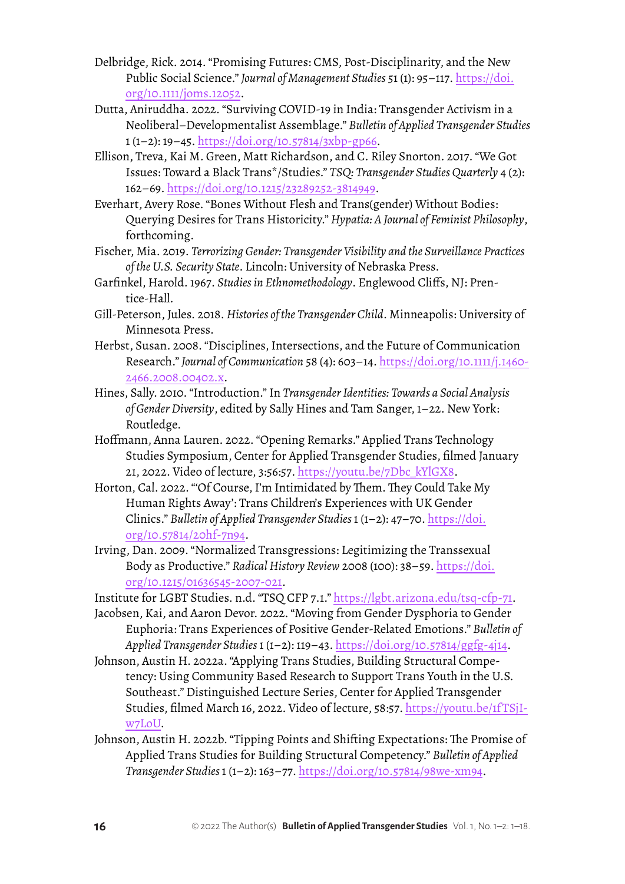- Delbridge, Rick. 2014. "Promising Futures: CMS, Post-Disciplinarity, and the New Public Social Science." *Journal of Management Studies* 51 (1): 95–117. [https://doi.](https://doi.org/10.1111/joms.12052) [org/10.1111/joms.12052](https://doi.org/10.1111/joms.12052).
- Dutta, Aniruddha. 2022. "Surviving COVID-19 in India: Transgender Activism in a Neoliberal–Developmentalist Assemblage." *Bulletin of Applied Transgender Studies*  1 (1–2): 19–45.<https://doi.org/10.57814/3xbp-gp66>.
- Ellison, Treva, Kai M. Green, Matt Richardson, and C. Riley Snorton. 2017. "We Got Issues: Toward a Black Trans\*/Studies." *TSQ: Transgender Studies Quarterly* 4 (2): 162–69.<https://doi.org/10.1215/23289252-3814949>.
- Everhart, Avery Rose. "Bones Without Flesh and Trans(gender) Without Bodies: Querying Desires for Trans Historicity." *Hypatia: A Journal of Feminist Philosophy*, forthcoming.
- Fischer, Mia. 2019. *Terrorizing Gender: Transgender Visibility and the Surveillance Practices of the U.S. Security State*. Lincoln: University of Nebraska Press.
- Garfinkel, Harold. 1967. *Studies in Ethnomethodology*. Englewood Cliffs, NJ: Prentice-Hall.
- Gill-Peterson, Jules. 2018. *Histories of the Transgender Child*. Minneapolis: University of Minnesota Press.
- Herbst, Susan. 2008. "Disciplines, Intersections, and the Future of Communication Research." *Journal of Communication* 58 (4): 603–14. [https://doi.org/10.1111/j.1460-](https://doi.org/10.1111/j.1460-2466.2008.00402.x) [2466.2008.00402.x](https://doi.org/10.1111/j.1460-2466.2008.00402.x).
- Hines, Sally. 2010. "Introduction." In *Transgender Identities: Towards a Social Analysis of Gender Diversity*, edited by Sally Hines and Tam Sanger, 1–22. New York: Routledge.
- Hoffmann, Anna Lauren. 2022. "Opening Remarks." Applied Trans Technology Studies Symposium, Center for Applied Transgender Studies, filmed January 21, 2022. Video of lecture, 3:56:57. [https://youtu.be/7Dbc\\_kYlGX8](https://youtu.be/7Dbc_kYlGX8).
- Horton, Cal. 2022. "'Of Course, I'm Intimidated by Them. They Could Take My Human Rights Away': Trans Children's Experiences with UK Gender Clinics." *Bulletin of Applied Transgender Studies* 1 (1–2): 47–70. [https://doi.](https://doi.org/10.57814/20hf-7n94) [org/10.57814/20hf-7n94.](https://doi.org/10.57814/20hf-7n94)
- Irving, Dan. 2009. "Normalized Transgressions: Legitimizing the Transsexual Body as Productive." *Radical History Review* 2008 (100): 38–59. [https://doi.](https://doi.org/10.1215/01636545-2007-021) [org/10.1215/01636545-2007-021](https://doi.org/10.1215/01636545-2007-021).
- Institute for LGBT Studies. n.d. "TSQ CFP 7.1." <https://lgbt.arizona.edu/tsq-cfp-71>.
- Jacobsen, Kai, and Aaron Devor. 2022. "Moving from Gender Dysphoria to Gender Euphoria: Trans Experiences of Positive Gender-Related Emotions." *Bulletin of Applied Transgender Studies* 1 (1–2): 119–43. <https://doi.org/10.57814/ggfg-4j14>.
- Johnson, Austin H. 2022a. "Applying Trans Studies, Building Structural Competency: Using Community Based Research to Support Trans Youth in the U.S. Southeast." Distinguished Lecture Series, Center for Applied Transgender Studies, filmed March 16, 2022. Video of lecture, 58:57. [https://youtu.be/1f TSjI](https://youtu.be/1fTSjIw7LoU)[w7LoU](https://youtu.be/1fTSjIw7LoU).
- Johnson, Austin H. 2022b. "Tipping Points and Shifting Expectations: The Promise of Applied Trans Studies for Building Structural Competency." *Bulletin of Applied Transgender Studies* 1 (1–2): 163–77. [https://doi.org/10.57814/98we-xm94.](https://doi.org/10.57814/98we-xm94)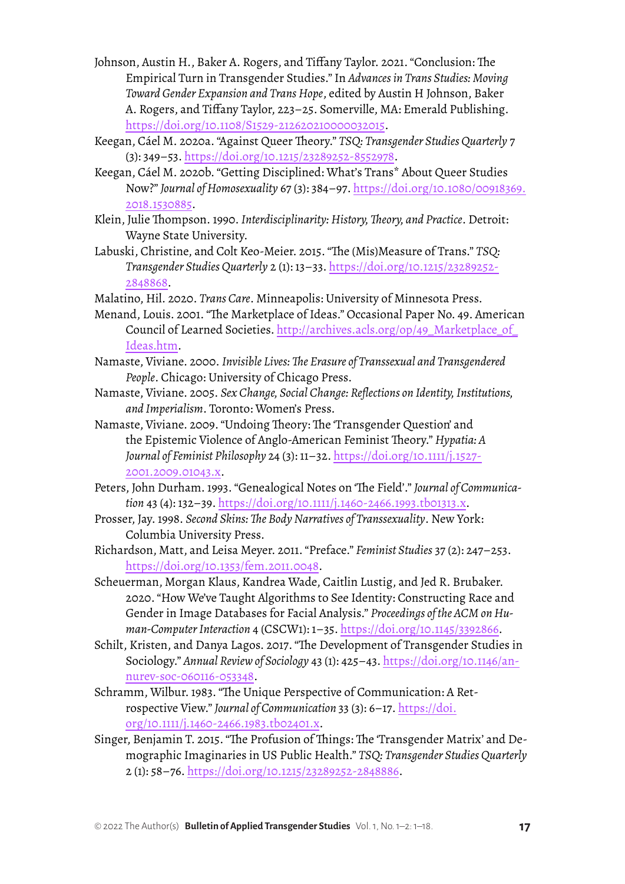- Johnson, Austin H., Baker A. Rogers, and Tiffany Taylor. 2021. "Conclusion: The Empirical Turn in Transgender Studies." In *Advances in Trans Studies: Moving Toward Gender Expansion and Trans Hope*, edited by Austin H Johnson, Baker A. Rogers, and Tiffany Taylor, 223–25. Somerville, MA: Emerald Publishing. <https://doi.org/10.1108/S1529-212620210000032015>.
- Keegan, Cáel M. 2020a. "Against Queer Theory." *TSQ: Transgender Studies Quarterly* 7 (3): 349–53. [https://doi.org/10.1215/23289252-8552978.](https://doi.org/10.1215/23289252-8552978)
- Keegan, Cáel M. 2020b. "Getting Disciplined: What's Trans\* About Queer Studies Now?" *Journal of Homosexuality* 67 (3): 384–97. [https://doi.org/10.1080/00918369.](https://doi.org/10.1080/00918369.2018.1530885) [2018.1530885.](https://doi.org/10.1080/00918369.2018.1530885)
- Klein, Julie Thompson. 1990. *Interdisciplinarity: History, Theory, and Practice*. Detroit: Wayne State University.
- Labuski, Christine, and Colt Keo-Meier. 2015. "The (Mis)Measure of Trans." *TSQ: Transgender Studies Quarterly* 2 (1): 13–33. [https://doi.org/10.1215/23289252-](https://doi.org/10.1215/23289252-2848868) [2848868.](https://doi.org/10.1215/23289252-2848868)
- Malatino, Hil. 2020. *Trans Care*. Minneapolis: University of Minnesota Press.
- Menand, Louis. 2001. "The Marketplace of Ideas." Occasional Paper No. 49. American Council of Learned Societies. http://archives.acls.org/op/49\_Marketplace\_of [Ideas.htm](http://archives.acls.org/op/49_Marketplace_of_Ideas.htm).
- Namaste, Viviane. 2000. *Invisible Lives: The Erasure of Transsexual and Transgendered People*. Chicago: University of Chicago Press.
- Namaste, Viviane. 2005. *Sex Change, Social Change: Reflections on Identity, Institutions, and Imperialism*. Toronto: Women's Press.
- Namaste, Viviane. 2009. "Undoing Theory: The 'Transgender Question' and the Epistemic Violence of Anglo-American Feminist Theory." *Hypatia: A Journal of Feminist Philosophy* 24 (3): 11–32. [https://doi.org/10.1111/j.1527-](https://doi.org/10.1111/j.1527-2001.2009.01043.x) [2001.2009.01043.x](https://doi.org/10.1111/j.1527-2001.2009.01043.x).
- Peters, John Durham. 1993. "Genealogical Notes on 'The Field'." *Journal of Communication* 43 (4): 132–39.<https://doi.org/10.1111/j.1460-2466.1993.tb01313.x>.
- Prosser, Jay. 1998. *Second Skins: The Body Narratives of Transsexuality*. New York: Columbia University Press.
- Richardson, Matt, and Leisa Meyer. 2011. "Preface." *Feminist Studies* 37 (2): 247–253. <https://doi.org/10.1353/fem.2011.0048>.
- Scheuerman, Morgan Klaus, Kandrea Wade, Caitlin Lustig, and Jed R. Brubaker. 2020. "How We've Taught Algorithms to See Identity: Constructing Race and Gender in Image Databases for Facial Analysis." *Proceedings of the ACM on Human-Computer Interaction* 4 (CSCW1): 1–35. <https://doi.org/10.1145/3392866>.
- Schilt, Kristen, and Danya Lagos. 2017. "The Development of Transgender Studies in Sociology." *Annual Review of Sociology* 43 (1): 425–43. [https://doi.org/10.1146/an](https://doi.org/10.1146/annurev-soc-060116-053348)[nurev-soc-060116-053348](https://doi.org/10.1146/annurev-soc-060116-053348).
- Schramm, Wilbur. 1983. "The Unique Perspective of Communication: A Retrospective View." *Journal of Communication* 33 (3): 6–17. [https://doi.](https://doi.org/10.1111/j.1460-2466.1983.tb02401.x) [org/10.1111/j.1460-2466.1983.tb02401.x](https://doi.org/10.1111/j.1460-2466.1983.tb02401.x).
- Singer, Benjamin T. 2015. "The Profusion of Things: The 'Transgender Matrix' and Demographic Imaginaries in US Public Health." *TSQ: Transgender Studies Quarterly* 2 (1): 58–76.<https://doi.org/10.1215/23289252-2848886>.